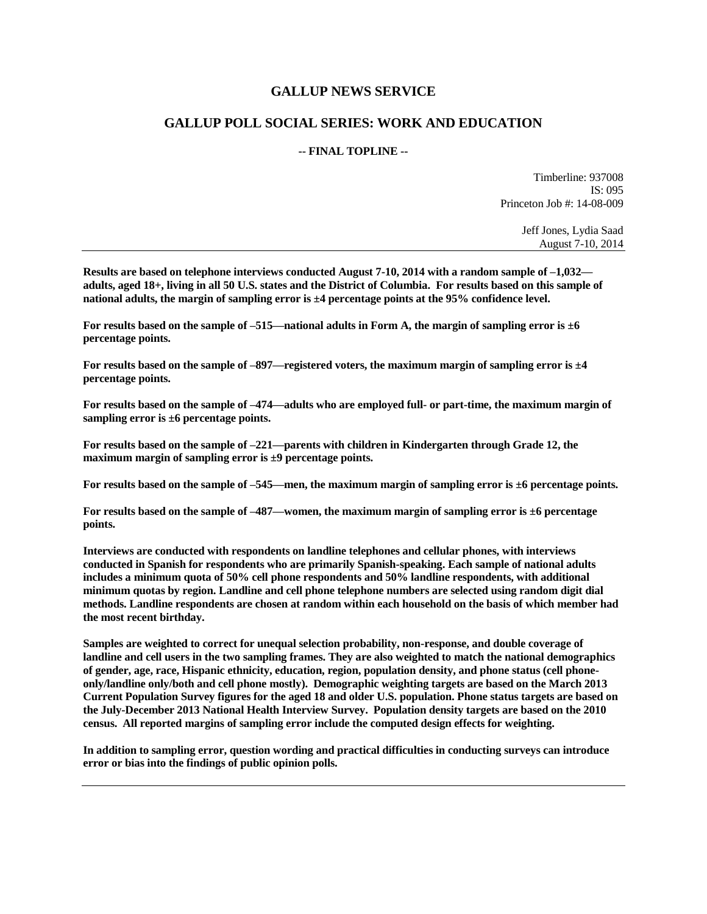#### **GALLUP NEWS SERVICE**

#### **GALLUP POLL SOCIAL SERIES: WORK AND EDUCATION**

#### **-- FINAL TOPLINE --**

Timberline: 937008 IS: 095 Princeton Job #: 14-08-009

> Jeff Jones, Lydia Saad August 7-10, 2014

**Results are based on telephone interviews conducted August 7-10, 2014 with a random sample of –1,032 adults, aged 18+, living in all 50 U.S. states and the District of Columbia. For results based on this sample of national adults, the margin of sampling error is ±4 percentage points at the 95% confidence level.** 

**For results based on the sample of –515—national adults in Form A, the margin of sampling error is ±6 percentage points.**

**For results based on the sample of –897—registered voters, the maximum margin of sampling error is ±4 percentage points.**

**For results based on the sample of –474—adults who are employed full- or part-time, the maximum margin of sampling error is ±6 percentage points.**

**For results based on the sample of –221—parents with children in Kindergarten through Grade 12, the maximum margin of sampling error is ±9 percentage points.**

**For results based on the sample of –545—men, the maximum margin of sampling error is ±6 percentage points.**

**For results based on the sample of –487—women, the maximum margin of sampling error is ±6 percentage points.**

**Interviews are conducted with respondents on landline telephones and cellular phones, with interviews conducted in Spanish for respondents who are primarily Spanish-speaking. Each sample of national adults includes a minimum quota of 50% cell phone respondents and 50% landline respondents, with additional minimum quotas by region. Landline and cell phone telephone numbers are selected using random digit dial methods. Landline respondents are chosen at random within each household on the basis of which member had the most recent birthday.**

**Samples are weighted to correct for unequal selection probability, non-response, and double coverage of landline and cell users in the two sampling frames. They are also weighted to match the national demographics of gender, age, race, Hispanic ethnicity, education, region, population density, and phone status (cell phoneonly/landline only/both and cell phone mostly). Demographic weighting targets are based on the March 2013 Current Population Survey figures for the aged 18 and older U.S. population. Phone status targets are based on the July-December 2013 National Health Interview Survey. Population density targets are based on the 2010 census. All reported margins of sampling error include the computed design effects for weighting.** 

**In addition to sampling error, question wording and practical difficulties in conducting surveys can introduce error or bias into the findings of public opinion polls.**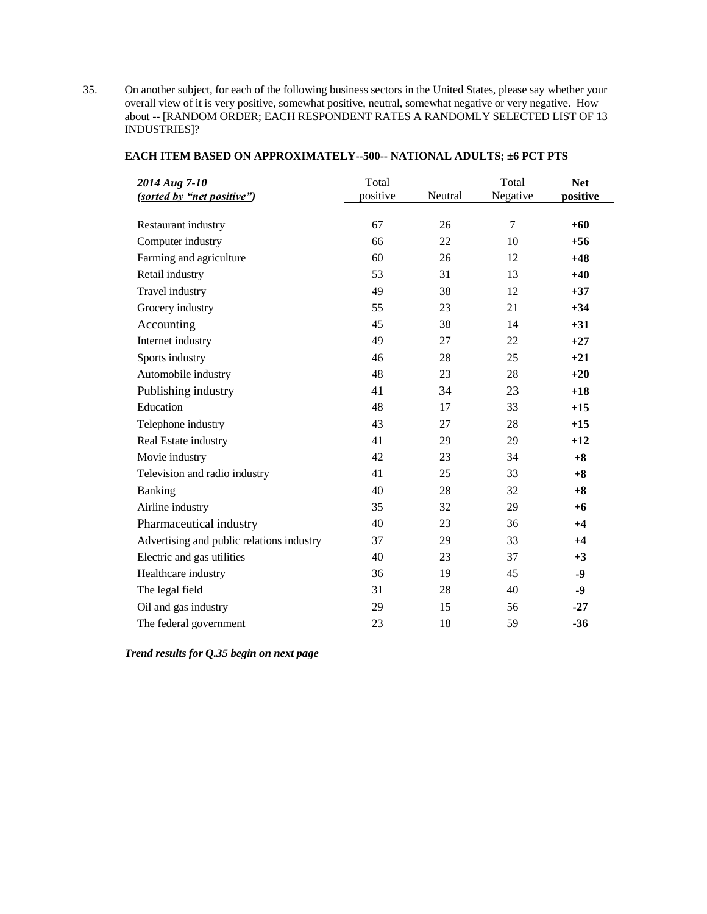35. On another subject, for each of the following business sectors in the United States, please say whether your overall view of it is very positive, somewhat positive, neutral, somewhat negative or very negative. How about -- [RANDOM ORDER; EACH RESPONDENT RATES A RANDOMLY SELECTED LIST OF 13 INDUSTRIES]?

| 2014 Aug 7-10<br>(sorted by "net positive") | Total<br>positive | Neutral | Total<br>Negative | <b>Net</b><br>positive |
|---------------------------------------------|-------------------|---------|-------------------|------------------------|
|                                             |                   |         |                   |                        |
| Restaurant industry                         | 67                | 26      | 7                 | $+60$                  |
| Computer industry                           | 66                | 22      | 10                | $+56$                  |
| Farming and agriculture                     | 60                | 26      | 12                | $+48$                  |
| Retail industry                             | 53                | 31      | 13                | $+40$                  |
| Travel industry                             | 49                | 38      | 12                | $+37$                  |
| Grocery industry                            | 55                | 23      | 21                | $+34$                  |
| Accounting                                  | 45                | 38      | 14                | $+31$                  |
| Internet industry                           | 49                | 27      | 22                | $+27$                  |
| Sports industry                             | 46                | 28      | 25                | $+21$                  |
| Automobile industry                         | 48                | 23      | 28                | $+20$                  |
| Publishing industry                         | 41                | 34      | 23                | $+18$                  |
| Education                                   | 48                | 17      | 33                | $+15$                  |
| Telephone industry                          | 43                | 27      | 28                | $+15$                  |
| Real Estate industry                        | 41                | 29      | 29                | $+12$                  |
| Movie industry                              | 42                | 23      | 34                | $+8$                   |
| Television and radio industry               | 41                | 25      | 33                | $+8$                   |
| Banking                                     | 40                | 28      | 32                | $+8$                   |
| Airline industry                            | 35                | 32      | 29                | $+6$                   |
| Pharmaceutical industry                     | 40                | 23      | 36                | $+4$                   |
| Advertising and public relations industry   | 37                | 29      | 33                | $+4$                   |
| Electric and gas utilities                  | 40                | 23      | 37                | $+3$                   |
| Healthcare industry                         | 36                | 19      | 45                | $-9$                   |
| The legal field                             | 31                | 28      | 40                | $-9$                   |
| Oil and gas industry                        | 29                | 15      | 56                | $-27$                  |
| The federal government                      | 23                | 18      | 59                | $-36$                  |

#### **EACH ITEM BASED ON APPROXIMATELY--500-- NATIONAL ADULTS; ±6 PCT PTS**

*Trend results for Q.35 begin on next page*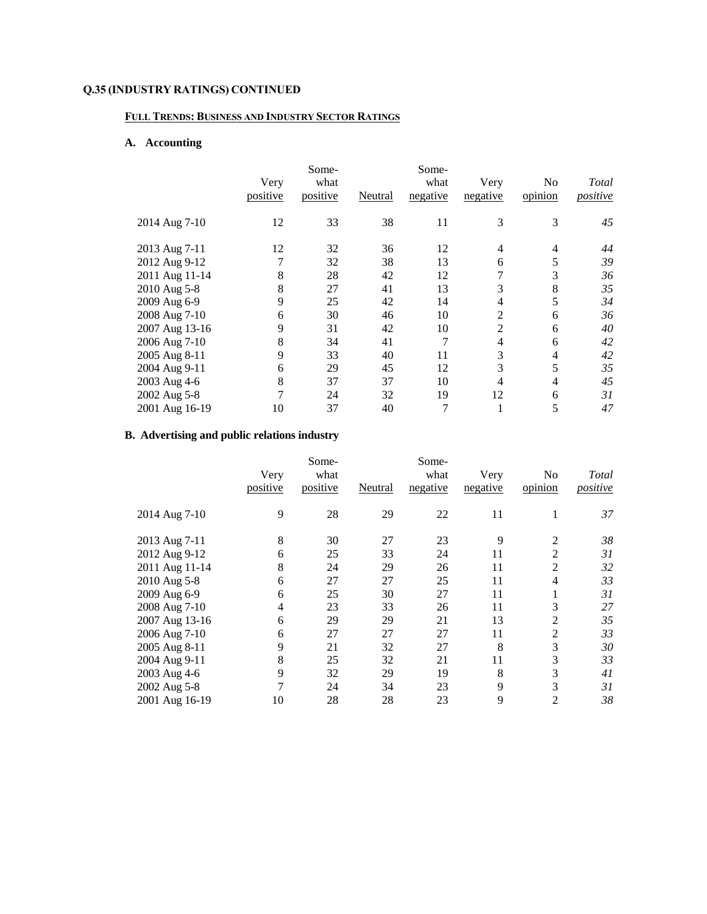#### **FULL TRENDS: BUSINESS AND INDUSTRY SECTOR RATINGS**

## **A. Accounting**

|                |          | Some-    |         | Some-    |                |         |          |
|----------------|----------|----------|---------|----------|----------------|---------|----------|
|                | Very     | what     |         | what     | Very           | No      | Total    |
|                | positive | positive | Neutral | negative | negative       | opinion | positive |
| 2014 Aug 7-10  | 12       | 33       | 38      | 11       | 3              | 3       | 45       |
| 2013 Aug 7-11  | 12       | 32       | 36      | 12       | 4              | 4       | 44       |
| 2012 Aug 9-12  | 7        | 32       | 38      | 13       | 6              | 5       | 39       |
| 2011 Aug 11-14 | 8        | 28       | 42      | 12       | 7              | 3       | 36       |
| 2010 Aug 5-8   | 8        | 27       | 41      | 13       | 3              | 8       | 35       |
| 2009 Aug 6-9   | 9        | 25       | 42      | 14       | 4              | 5       | 34       |
| 2008 Aug 7-10  | 6        | 30       | 46      | 10       | $\overline{2}$ | 6       | 36       |
| 2007 Aug 13-16 | 9        | 31       | 42      | 10       | $\overline{2}$ | 6       | 40       |
| 2006 Aug 7-10  | 8        | 34       | 41      | 7        | 4              | 6       | 42       |
| 2005 Aug 8-11  | 9        | 33       | 40      | 11       | 3              | 4       | 42       |
| 2004 Aug 9-11  | 6        | 29       | 45      | 12       | 3              | 5       | 35       |
| 2003 Aug 4-6   | 8        | 37       | 37      | 10       | 4              | 4       | 45       |
| 2002 Aug 5-8   | 7        | 24       | 32      | 19       | 12             | 6       | 31       |
| 2001 Aug 16-19 | 10       | 37       | 40      | 7        |                | 5       | 47       |

## **B. Advertising and public relations industry**

|                | Very     | Some-<br>what |         | Some-<br>what | Very     | No             | Total    |
|----------------|----------|---------------|---------|---------------|----------|----------------|----------|
|                | positive | positive      | Neutral | negative      | negative | opinion        | positive |
| 2014 Aug 7-10  | 9        | 28            | 29      | 22            | 11       | 1              | 37       |
| 2013 Aug 7-11  | 8        | 30            | 27      | 23            | 9        | $\overline{2}$ | 38       |
| 2012 Aug 9-12  | 6        | 25            | 33      | 24            | 11       | 2              | 31       |
| 2011 Aug 11-14 | 8        | 24            | 29      | 26            | 11       | 2              | 32       |
| 2010 Aug 5-8   | 6        | 27            | 27      | 25            | 11       | 4              | 33       |
| 2009 Aug 6-9   | 6        | 25            | 30      | 27            | 11       | 1              | 31       |
| 2008 Aug 7-10  | 4        | 23            | 33      | 26            | 11       | 3              | 27       |
| 2007 Aug 13-16 | 6        | 29            | 29      | 21            | 13       | 2              | 35       |
| 2006 Aug 7-10  | 6        | 27            | 27      | 27            | 11       | $\overline{2}$ | 33       |
| 2005 Aug 8-11  | 9        | 21            | 32      | 27            | 8        | 3              | 30       |
| 2004 Aug 9-11  | 8        | 25            | 32      | 21            | 11       | 3              | 33       |
| 2003 Aug 4-6   | 9        | 32            | 29      | 19            | 8        | 3              | 41       |
| 2002 Aug 5-8   | 7        | 24            | 34      | 23            | 9        | 3              | 31       |
| 2001 Aug 16-19 | 10       | 28            | 28      | 23            | 9        | 2              | 38       |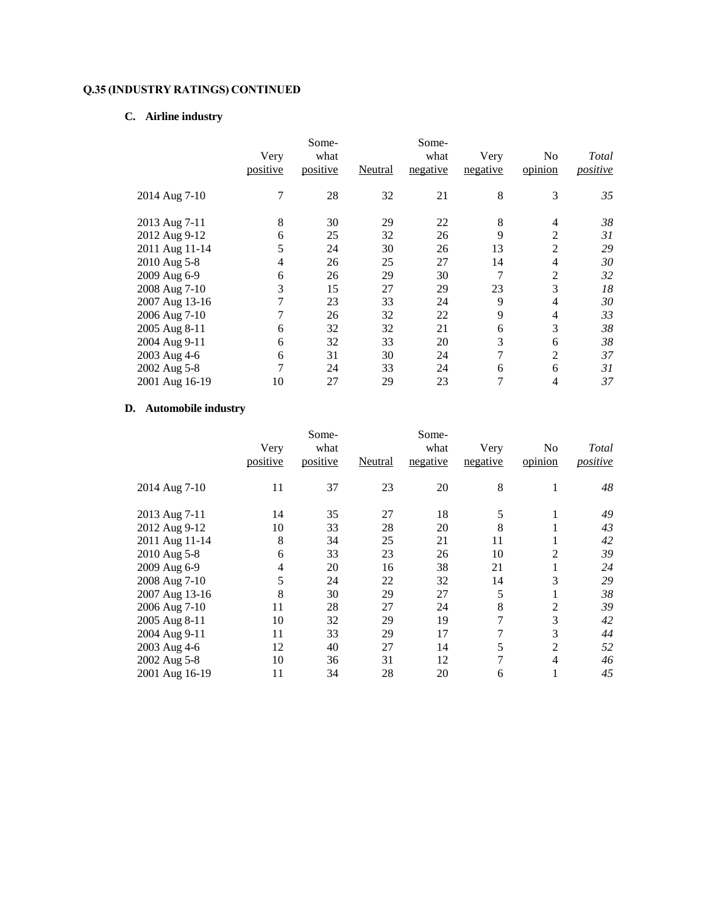# **C. Airline industry**

|                | Very<br>positive | Some-<br>what<br>positive | Neutral | Some-<br>what<br>negative | Very<br>negative | No<br>opinion  | Total<br>positive |
|----------------|------------------|---------------------------|---------|---------------------------|------------------|----------------|-------------------|
| 2014 Aug 7-10  | 7                | 28                        | 32      | 21                        | 8                | 3              | 35                |
| 2013 Aug 7-11  | 8                | 30                        | 29      | 22                        | 8                | 4              | 38                |
| 2012 Aug 9-12  | 6                | 25                        | 32      | 26                        | 9                | 2              | 31                |
| 2011 Aug 11-14 | 5                | 24                        | 30      | 26                        | 13               | 2              | 29                |
| 2010 Aug 5-8   | 4                | 26                        | 25      | 27                        | 14               | 4              | 30                |
| 2009 Aug 6-9   | 6                | 26                        | 29      | 30                        | 7                | $\overline{2}$ | 32                |
| 2008 Aug 7-10  | 3                | 15                        | 27      | 29                        | 23               | 3              | 18                |
| 2007 Aug 13-16 | 7                | 23                        | 33      | 24                        | 9                | 4              | 30                |
| 2006 Aug 7-10  | 7                | 26                        | 32      | 22                        | 9                | 4              | 33                |
| 2005 Aug 8-11  | 6                | 32                        | 32      | 21                        | 6                | 3              | 38                |
| 2004 Aug 9-11  | 6                | 32                        | 33      | 20                        | 3                | 6              | 38                |
| 2003 Aug 4-6   | 6                | 31                        | 30      | 24                        | 7                | $\overline{2}$ | 37                |
| 2002 Aug 5-8   | 7                | 24                        | 33      | 24                        | 6                | 6              | 31                |
| 2001 Aug 16-19 | 10               | 27                        | 29      | 23                        | 7                | 4              | 37                |

## **D. Automobile industry**

|                |          | Some-    |         | Some-    |          |                |                 |
|----------------|----------|----------|---------|----------|----------|----------------|-----------------|
|                | Very     | what     |         | what     | Very     | No             | Total           |
|                | positive | positive | Neutral | negative | negative | opinion        | <i>positive</i> |
| 2014 Aug 7-10  | 11       | 37       | 23      | 20       | 8        | 1              | 48              |
| 2013 Aug 7-11  | 14       | 35       | 27      | 18       | 5        |                | 49              |
| 2012 Aug 9-12  | 10       | 33       | 28      | 20       | 8        |                | 43              |
| 2011 Aug 11-14 | 8        | 34       | 25      | 21       | 11       |                | 42              |
| 2010 Aug 5-8   | 6        | 33       | 23      | 26       | 10       | 2              | 39              |
| 2009 Aug 6-9   | 4        | 20       | 16      | 38       | 21       |                | 24              |
| 2008 Aug 7-10  | 5        | 24       | 22      | 32       | 14       | 3              | 29              |
| 2007 Aug 13-16 | 8        | 30       | 29      | 27       | 5        |                | 38              |
| 2006 Aug 7-10  | 11       | 28       | 27      | 24       | 8        | 2              | 39              |
| 2005 Aug 8-11  | 10       | 32       | 29      | 19       | 7        | 3              | 42              |
| 2004 Aug 9-11  | 11       | 33       | 29      | 17       | 7        | 3              | 44              |
| 2003 Aug 4-6   | 12       | 40       | 27      | 14       | 5        | $\overline{2}$ | 52              |
| 2002 Aug 5-8   | 10       | 36       | 31      | 12       | 7        | 4              | 46              |
| 2001 Aug 16-19 | 11       | 34       | 28      | 20       | 6        |                | 45              |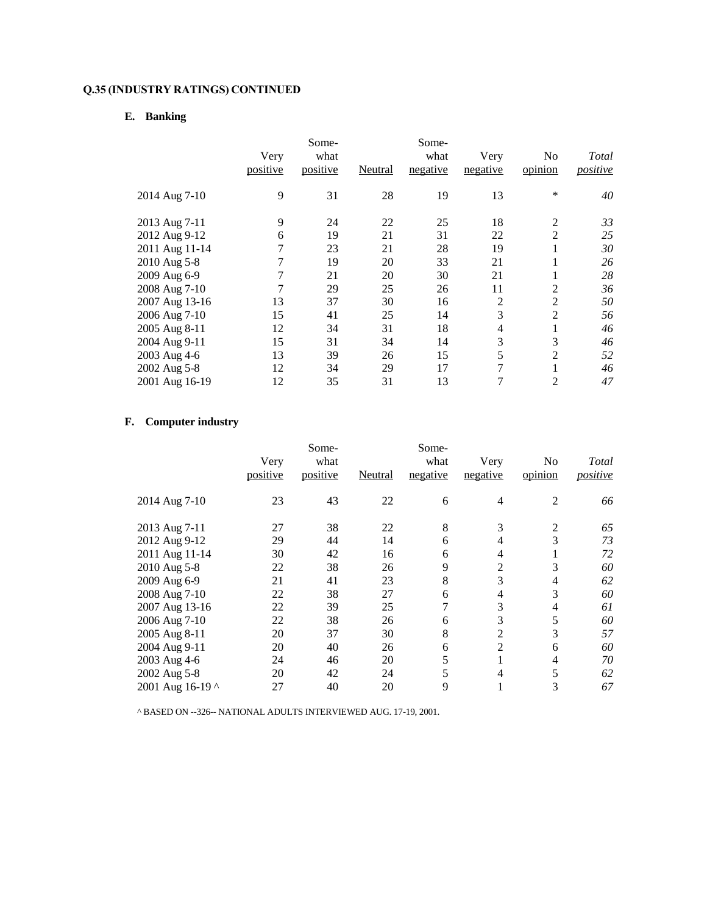## **E. Banking**

|                | Very<br>positive | Some-<br>what<br>positive | Neutral | Some-<br>what<br>negative | Very<br>negative | No<br>opinion  | Total<br>positive |
|----------------|------------------|---------------------------|---------|---------------------------|------------------|----------------|-------------------|
| 2014 Aug 7-10  | 9                | 31                        | 28      | 19                        | 13               | $\ast$         | 40                |
| 2013 Aug 7-11  | 9                | 24                        | 22      | 25                        | 18               | $\overline{2}$ | 33                |
| 2012 Aug 9-12  | 6                | 19                        | 21      | 31                        | 22               | 2              | 25                |
| 2011 Aug 11-14 | 7                | 23                        | 21      | 28                        | 19               | 1              | 30                |
| 2010 Aug 5-8   | 7                | 19                        | 20      | 33                        | 21               | 1              | 26                |
| 2009 Aug 6-9   | 7                | 21                        | 20      | 30                        | 21               | 1              | 28                |
| 2008 Aug 7-10  | 7                | 29                        | 25      | 26                        | 11               | 2              | 36                |
| 2007 Aug 13-16 | 13               | 37                        | 30      | 16                        | $\overline{2}$   | $\overline{2}$ | 50                |
| 2006 Aug 7-10  | 15               | 41                        | 25      | 14                        | 3                | $\overline{2}$ | 56                |
| 2005 Aug 8-11  | 12               | 34                        | 31      | 18                        | 4                | 1              | 46                |
| 2004 Aug 9-11  | 15               | 31                        | 34      | 14                        | 3                | 3              | 46                |
| 2003 Aug 4-6   | 13               | 39                        | 26      | 15                        | 5                | $\overline{c}$ | 52                |
| 2002 Aug 5-8   | 12               | 34                        | 29      | 17                        | 7                | 1              | 46                |
| 2001 Aug 16-19 | 12               | 35                        | 31      | 13                        | 7                | $\overline{c}$ | 47                |

## **F. Computer industry**

|                  | Very<br>positive | Some-<br>what<br>positive | Neutral | Some-<br>what<br>negative | Very<br>negative | No<br>opinion  | Total<br>positive |
|------------------|------------------|---------------------------|---------|---------------------------|------------------|----------------|-------------------|
| 2014 Aug 7-10    | 23               | 43                        | 22      | 6                         | 4                | $\overline{2}$ | 66                |
| 2013 Aug 7-11    | 27               | 38                        | 22      | 8                         | 3                | 2              | 65                |
| 2012 Aug 9-12    | 29               | 44                        | 14      | 6                         | 4                | 3              | 73                |
| 2011 Aug 11-14   | 30               | 42                        | 16      | 6                         | 4                |                | 72                |
| 2010 Aug 5-8     | 22               | 38                        | 26      | 9                         | 2                | 3              | 60                |
| 2009 Aug 6-9     | 21               | 41                        | 23      | 8                         | 3                | 4              | 62                |
| 2008 Aug 7-10    | 22               | 38                        | 27      | 6                         | 4                | 3              | 60                |
| 2007 Aug 13-16   | 22               | 39                        | 25      | 7                         | 3                | 4              | 61                |
| 2006 Aug 7-10    | 22               | 38                        | 26      | 6                         | 3                | 5              | 60                |
| 2005 Aug 8-11    | 20               | 37                        | 30      | 8                         | 2                | 3              | 57                |
| 2004 Aug 9-11    | 20               | 40                        | 26      | 6                         | $\overline{2}$   | 6              | 60                |
| 2003 Aug 4-6     | 24               | 46                        | 20      | 5                         | л.               | 4              | 70                |
| 2002 Aug 5-8     | 20               | 42                        | 24      | 5                         | 4                | 5              | 62                |
| 2001 Aug 16-19 ^ | 27               | 40                        | 20      | 9                         |                  | 3              | 67                |

^ BASED ON --326-- NATIONAL ADULTS INTERVIEWED AUG. 17-19, 2001.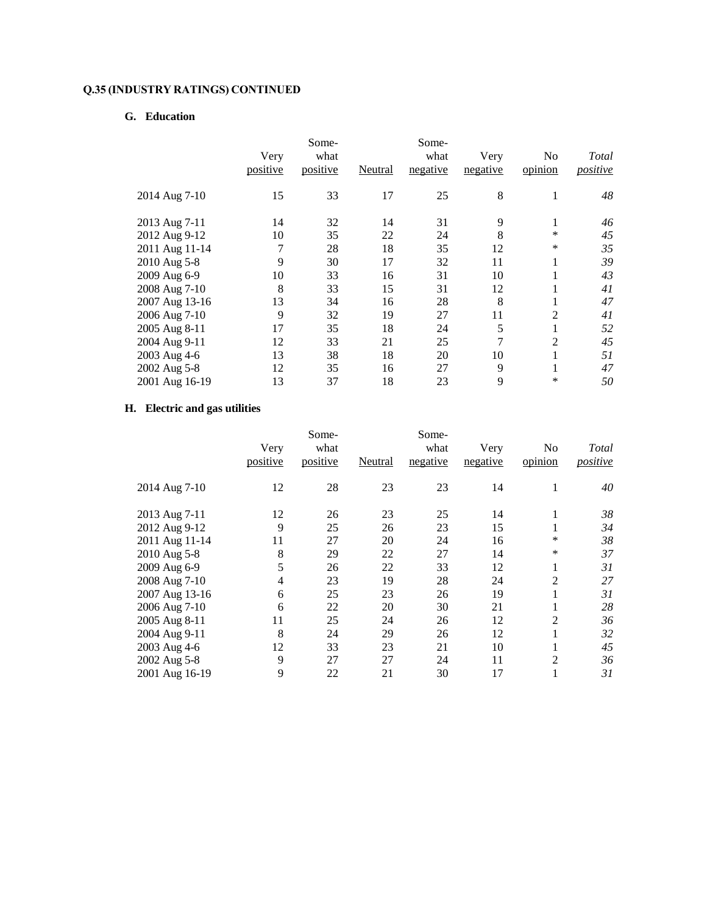## **G. Education**

|                | Very<br>positive | Some-<br>what<br>positive | Neutral | Some-<br>what<br>negative | Very<br>negative | No<br>opinion  | Total<br>positive |
|----------------|------------------|---------------------------|---------|---------------------------|------------------|----------------|-------------------|
| 2014 Aug 7-10  | 15               | 33                        | 17      | 25                        | 8                | 1              | 48                |
| 2013 Aug 7-11  | 14               | 32                        | 14      | 31                        | 9                | 1              | 46                |
| 2012 Aug 9-12  | 10               | 35                        | 22      | 24                        | 8                | $\ast$         | 45                |
| 2011 Aug 11-14 | 7                | 28                        | 18      | 35                        | 12               | $\ast$         | 35                |
| 2010 Aug 5-8   | 9                | 30                        | 17      | 32                        | 11               | 1              | 39                |
| 2009 Aug 6-9   | 10               | 33                        | 16      | 31                        | 10               | 1              | 43                |
| 2008 Aug 7-10  | 8                | 33                        | 15      | 31                        | 12               |                | 41                |
| 2007 Aug 13-16 | 13<br>9          | 34                        | 16      | 28                        | 8                | 1              | 47                |
| 2006 Aug 7-10  | 17               | 32                        | 19      | 27                        | 11               | 2              | 41                |
| 2005 Aug 8-11  |                  | 35                        | 18      | 24                        | 5                | 1              | 52                |
| 2004 Aug 9-11  | 12               | 33                        | 21      | 25                        | 7                | $\overline{2}$ | 45                |
| 2003 Aug 4-6   | 13               | 38                        | 18      | 20                        | 10               | 1              | 51                |
| 2002 Aug 5-8   | 12               | 35                        | 16      | 27                        | 9                | 1              | 47                |
| 2001 Aug 16-19 | 13               | 37                        | 18      | 23                        | 9                | ∗              | 50                |

## **H. Electric and gas utilities**

|                |                | Some-    |         | Some-    |          |                |          |
|----------------|----------------|----------|---------|----------|----------|----------------|----------|
|                | Very           | what     |         | what     | Very     | No             | Total    |
|                | positive       | positive | Neutral | negative | negative | opinion        | positive |
| 2014 Aug 7-10  | 12             | 28       | 23      | 23       | 14       | 1              | 40       |
| 2013 Aug 7-11  | 12             | 26       | 23      | 25       | 14       | 1              | 38       |
| 2012 Aug 9-12  | 9              | 25       | 26      | 23       | 15       |                | 34       |
| 2011 Aug 11-14 | 11             | 27       | 20      | 24       | 16       | ∗              | 38       |
| 2010 Aug 5-8   | 8              | 29       | 22      | 27       | 14       | ∗              | 37       |
| 2009 Aug 6-9   | 5              | 26       | 22      | 33       | 12       | 1              | 31       |
| 2008 Aug 7-10  | $\overline{4}$ | 23       | 19      | 28       | 24       | 2              | 27       |
| 2007 Aug 13-16 | 6              | 25       | 23      | 26       | 19       |                | 31       |
| 2006 Aug 7-10  | 6              | 22       | 20      | 30       | 21       |                | 28       |
| 2005 Aug 8-11  | 11             | 25       | 24      | 26       | 12       | 2              | 36       |
| 2004 Aug 9-11  | 8              | 24       | 29      | 26       | 12       | 1              | 32       |
| 2003 Aug 4-6   | 12             | 33       | 23      | 21       | 10       |                | 45       |
| 2002 Aug 5-8   | 9              | 27       | 27      | 24       | 11       | $\overline{2}$ | 36       |
| 2001 Aug 16-19 | 9              | 22       | 21      | 30       | 17       | 1              | 31       |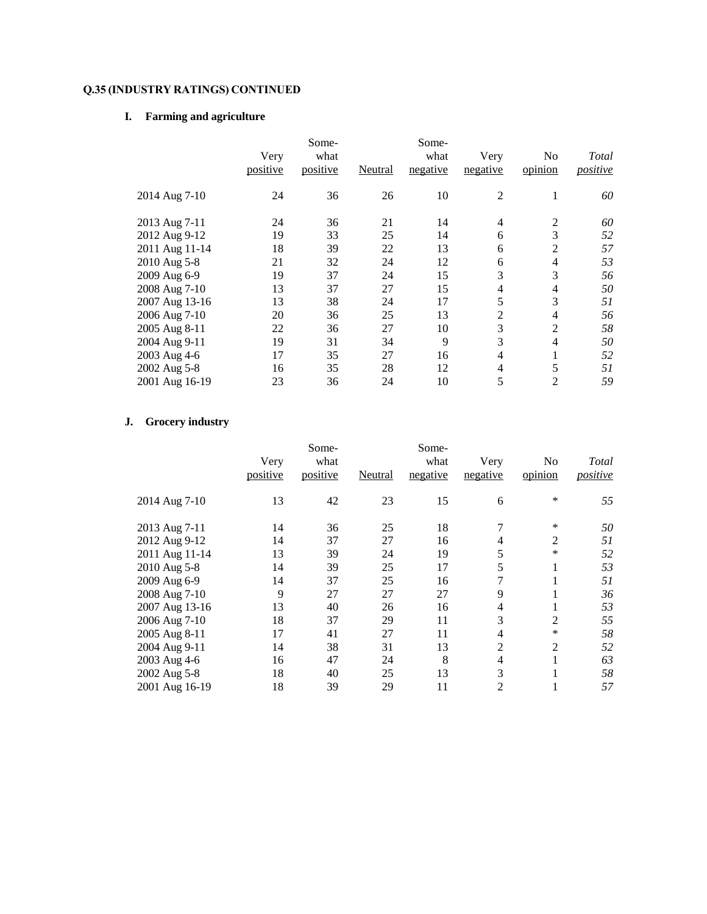## **I. Farming and agriculture**

|                | Very<br>positive | Some-<br>what<br>positive | Neutral | Some-<br>what<br>negative | Very<br>negative | No<br>opinion  | Total<br>positive |
|----------------|------------------|---------------------------|---------|---------------------------|------------------|----------------|-------------------|
| 2014 Aug 7-10  | 24               | 36                        | 26      | 10                        | $\overline{2}$   | 1              | 60                |
| 2013 Aug 7-11  | 24               | 36                        | 21      | 14                        | 4                | $\overline{2}$ | 60                |
| 2012 Aug 9-12  | 19               | 33                        | 25      | 14                        | 6                | 3              | 52                |
| 2011 Aug 11-14 | 18               | 39                        | 22      | 13                        | 6                | 2              | 57                |
| 2010 Aug 5-8   | 21               | 32                        | 24      | 12                        | 6                | 4              | 53                |
| 2009 Aug 6-9   | 19               | 37                        | 24      | 15                        | 3                | 3              | 56                |
| 2008 Aug 7-10  | 13               | 37                        | 27      | 15                        | 4                | 4              | 50                |
| 2007 Aug 13-16 | 13               | 38                        | 24      | 17                        | 5                | 3              | 51                |
| 2006 Aug 7-10  | 20               | 36                        | 25      | 13                        | $\overline{2}$   | 4              | 56                |
| 2005 Aug 8-11  | 22               | 36                        | 27      | 10                        | 3                | $\overline{2}$ | 58                |
| 2004 Aug 9-11  | 19               | 31                        | 34      | 9                         | 3                | 4              | 50                |
| 2003 Aug 4-6   | 17               | 35                        | 27      | 16                        | 4                | 1              | 52                |
| 2002 Aug 5-8   | 16               | 35                        | 28      | 12                        | 4                | 5              | 51                |
| 2001 Aug 16-19 | 23               | 36                        | 24      | 10                        | 5                | $\overline{2}$ | 59                |

## **J. Grocery industry**

|                | Very     | Some-<br>what |         | Some-<br>what | Very           | No      | Total    |
|----------------|----------|---------------|---------|---------------|----------------|---------|----------|
|                | positive | positive      | Neutral | negative      | negative       | opinion | positive |
| 2014 Aug 7-10  | 13       | 42            | 23      | 15            | 6              | $\ast$  | 55       |
| 2013 Aug 7-11  | 14       | 36            | 25      | 18            | 7              | $\ast$  | 50       |
| 2012 Aug 9-12  | 14       | 37            | 27      | 16            | 4              | 2       | 51       |
| 2011 Aug 11-14 | 13       | 39            | 24      | 19            | 5              | $\ast$  | 52       |
| 2010 Aug 5-8   | 14       | 39            | 25      | 17            | 5              | 1       | 53       |
| 2009 Aug 6-9   | 14       | 37            | 25      | 16            | 7              |         | 51       |
| 2008 Aug 7-10  | 9        | 27            | 27      | 27            | 9              | 1       | 36       |
| 2007 Aug 13-16 | 13       | 40            | 26      | 16            | 4              | 1       | 53       |
| 2006 Aug 7-10  | 18       | 37            | 29      | 11            | 3              | 2       | 55       |
| 2005 Aug 8-11  | 17       | 41            | 27      | 11            | 4              | ∗       | 58       |
| 2004 Aug 9-11  | 14       | 38            | 31      | 13            | $\overline{2}$ | 2       | 52       |
| 2003 Aug 4-6   | 16       | 47            | 24      | 8             | 4              |         | 63       |
| 2002 Aug 5-8   | 18       | 40            | 25      | 13            | 3              | 1<br>Ι. | 58       |
| 2001 Aug 16-19 | 18       | 39            | 29      | 11            | 2              |         | 57       |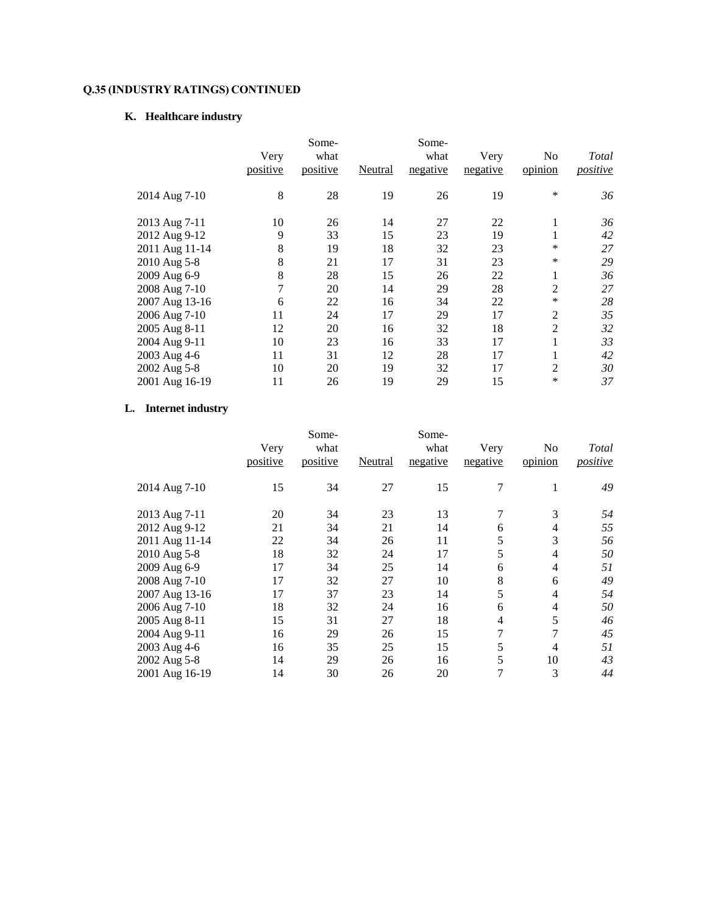# **K. Healthcare industry**

|                | Very<br>positive | Some-<br>what<br>positive | Neutral | Some-<br>what<br>negative | Very<br>negative | No<br>opinion  | Total<br>positive |
|----------------|------------------|---------------------------|---------|---------------------------|------------------|----------------|-------------------|
| 2014 Aug 7-10  | 8                | 28                        | 19      | 26                        | 19               | $\ast$         | 36                |
| 2013 Aug 7-11  | 10               | 26                        | 14      | 27                        | 22               | 1              | 36                |
| 2012 Aug 9-12  | 9                | 33                        | 15      | 23                        | 19               | 1              | 42                |
| 2011 Aug 11-14 | 8                | 19                        | 18      | 32                        | 23               | *              | 27                |
| 2010 Aug 5-8   | 8                | 21                        | 17      | 31                        | 23               | $\ast$         | 29                |
| 2009 Aug 6-9   | 8                | 28                        | 15      | 26                        | 22               | 1              | 36                |
| 2008 Aug 7-10  | 7                | 20                        | 14      | 29                        | 28               | $\overline{2}$ | 27                |
| 2007 Aug 13-16 | 6                | 22                        | 16      | 34                        | 22               | $\ast$         | 28                |
| 2006 Aug 7-10  | 11               | 24                        | 17      | 29                        | 17               | $\overline{2}$ | 35                |
| 2005 Aug 8-11  | 12               | 20                        | 16      | 32                        | 18               | $\overline{2}$ | 32                |
| 2004 Aug 9-11  | 10               | 23                        | 16      | 33                        | 17               | 1              | 33                |
| 2003 Aug 4-6   | 11               | 31                        | 12      | 28                        | 17               | 1              | 42                |
| 2002 Aug 5-8   | 10               | 20                        | 19      | 32                        | 17               | $\overline{2}$ | 30                |
| 2001 Aug 16-19 | 11               | 26                        | 19      | 29                        | 15               | $\ast$         | 37                |

## **L. Internet industry**

|                |          | Some-    |         | Some-    |          |         |                 |
|----------------|----------|----------|---------|----------|----------|---------|-----------------|
|                | Very     | what     |         | what     | Very     | No      | Total           |
|                | positive | positive | Neutral | negative | negative | opinion | <i>positive</i> |
| 2014 Aug 7-10  | 15       | 34       | 27      | 15       | 7        |         | 49              |
| 2013 Aug 7-11  | 20       | 34       | 23      | 13       | 7        | 3       | 54              |
| 2012 Aug 9-12  | 21       | 34       | 21      | 14       | 6        | 4       | 55              |
| 2011 Aug 11-14 | 22       | 34       | 26      | 11       | 5        | 3       | 56              |
| 2010 Aug 5-8   | 18       | 32       | 24      | 17       | 5        | 4       | 50              |
| 2009 Aug 6-9   | 17       | 34       | 25      | 14       | 6        | 4       | 51              |
| 2008 Aug 7-10  | 17       | 32       | 27      | 10       | 8        | 6       | 49              |
| 2007 Aug 13-16 | 17       | 37       | 23      | 14       | 5        | 4       | 54              |
| 2006 Aug 7-10  | 18       | 32       | 24      | 16       | 6        | 4       | 50              |
| 2005 Aug 8-11  | 15       | 31       | 27      | 18       | 4        | 5       | 46              |
| 2004 Aug 9-11  | 16       | 29       | 26      | 15       | 7        | 7       | 45              |
| 2003 Aug 4-6   | 16       | 35       | 25      | 15       | 5        | 4       | 51              |
| 2002 Aug 5-8   | 14       | 29       | 26      | 16       | 5        | 10      | 43              |
| 2001 Aug 16-19 | 14       | 30       | 26      | 20       | 7        | 3       | 44              |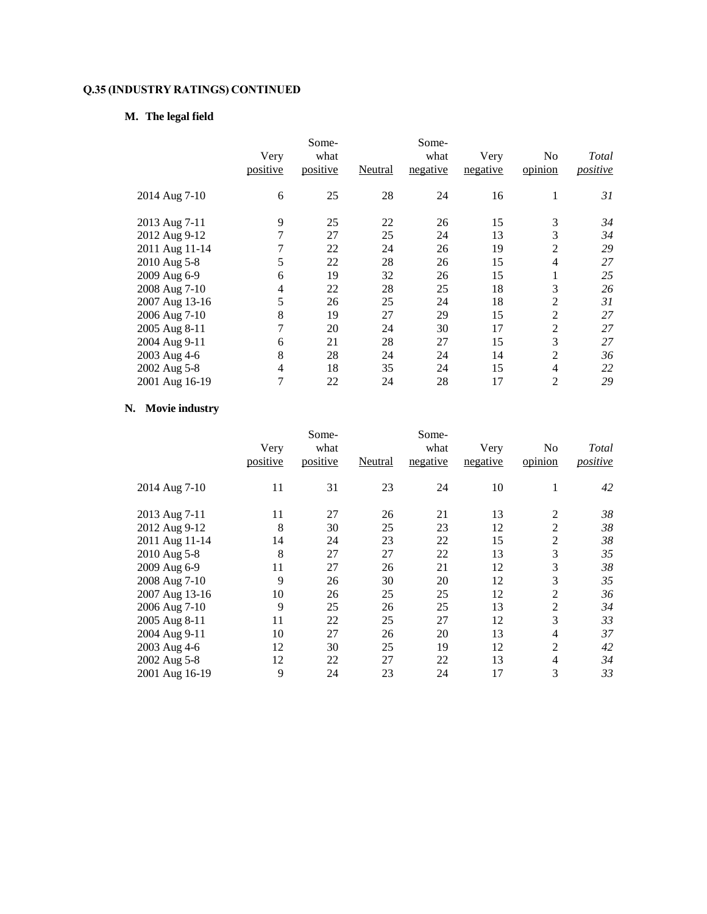## **M. The legal field**

|                                                                                                                                      | Very<br>positive           | Some-<br>what<br>positive                    | Neutral                                      | Some-<br>what<br>negative                    | Very<br>negative                             | No<br>opinion                                                  | Total<br>positive                            |
|--------------------------------------------------------------------------------------------------------------------------------------|----------------------------|----------------------------------------------|----------------------------------------------|----------------------------------------------|----------------------------------------------|----------------------------------------------------------------|----------------------------------------------|
| 2014 Aug 7-10                                                                                                                        | 6                          | 25                                           | 28                                           | 24                                           | 16                                           | 1                                                              | 31                                           |
| 2013 Aug 7-11<br>2012 Aug 9-12<br>2011 Aug 11-14<br>2010 Aug 5-8<br>2009 Aug 6-9<br>2008 Aug 7-10<br>2007 Aug 13-16<br>2006 Aug 7-10 | 9<br>5<br>6<br>4<br>5<br>8 | 25<br>27<br>22<br>22<br>19<br>22<br>26<br>19 | 22<br>25<br>24<br>28<br>32<br>28<br>25<br>27 | 26<br>24<br>26<br>26<br>26<br>25<br>24<br>29 | 15<br>13<br>19<br>15<br>15<br>18<br>18<br>15 | 3<br>3<br>$\overline{2}$<br>4<br>1<br>3<br>2<br>$\overline{2}$ | 34<br>34<br>29<br>27<br>25<br>26<br>31<br>27 |
| 2005 Aug 8-11<br>2004 Aug 9-11<br>2003 Aug 4-6<br>2002 Aug 5-8<br>2001 Aug 16-19                                                     | 7<br>6<br>8<br>4<br>7      | 20<br>21<br>28<br>18<br>22                   | 24<br>28<br>24<br>35<br>24                   | 30<br>27<br>24<br>24<br>28                   | 17<br>15<br>14<br>15<br>17                   | 2<br>3<br>2<br>4<br>$\overline{2}$                             | 27<br>27<br>36<br>22<br>29                   |

## **N. Movie industry**

|                |          | Some-    |         | Some-    |          |                |          |
|----------------|----------|----------|---------|----------|----------|----------------|----------|
|                | Very     | what     |         | what     | Very     | No             | Total    |
|                | positive | positive | Neutral | negative | negative | opinion        | positive |
| 2014 Aug 7-10  | 11       | 31       | 23      | 24       | 10       | 1              | 42       |
| 2013 Aug 7-11  | 11       | 27       | 26      | 21       | 13       | 2              | 38       |
| 2012 Aug 9-12  | 8        | 30       | 25      | 23       | 12       | 2              | 38       |
| 2011 Aug 11-14 | 14       | 24       | 23      | 22       | 15       | $\overline{2}$ | 38       |
| 2010 Aug 5-8   | 8        | 27       | 27      | 22       | 13       | 3              | 35       |
| 2009 Aug 6-9   | 11       | 27       | 26      | 21       | 12       | 3              | 38       |
| 2008 Aug 7-10  | 9        | 26       | 30      | 20       | 12       | 3              | 35       |
| 2007 Aug 13-16 | 10       | 26       | 25      | 25       | 12       | 2              | 36       |
| 2006 Aug 7-10  | 9        | 25       | 26      | 25       | 13       | 2              | 34       |
| 2005 Aug 8-11  | 11       | 22       | 25      | 27       | 12       | 3              | 33       |
| 2004 Aug 9-11  | 10       | 27       | 26      | 20       | 13       | 4              | 37       |
| 2003 Aug 4-6   | 12       | 30       | 25      | 19       | 12       | $\overline{c}$ | 42       |
| 2002 Aug 5-8   | 12       | 22       | 27      | 22       | 13       | 4              | 34       |
| 2001 Aug 16-19 | 9        | 24       | 23      | 24       | 17       | 3              | 33       |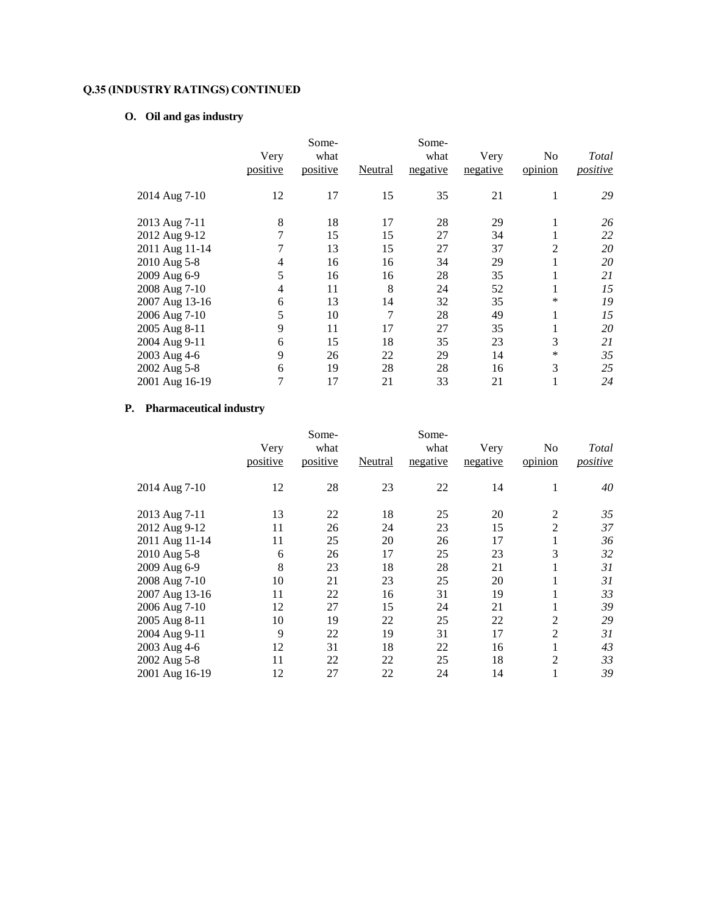# **O. Oil and gas industry**

|                                                                                                                                                       | Very<br>positive                | Some-<br>what<br>positive                          | Neutral                                          | Some-<br>what<br>negative                          | Very<br>negative                                   | No<br>opinion                                            | Total<br>positive                                  |
|-------------------------------------------------------------------------------------------------------------------------------------------------------|---------------------------------|----------------------------------------------------|--------------------------------------------------|----------------------------------------------------|----------------------------------------------------|----------------------------------------------------------|----------------------------------------------------|
| 2014 Aug 7-10                                                                                                                                         | 12                              | 17                                                 | 15                                               | 35                                                 | 21                                                 | 1                                                        | 29                                                 |
| 2013 Aug 7-11<br>2012 Aug 9-12<br>2011 Aug 11-14<br>2010 Aug 5-8<br>2009 Aug 6-9<br>2008 Aug 7-10<br>2007 Aug 13-16<br>2006 Aug 7-10<br>2005 Aug 8-11 | 8<br>4<br>5<br>4<br>6<br>5<br>9 | 18<br>15<br>13<br>16<br>16<br>11<br>13<br>10<br>11 | 17<br>15<br>15<br>16<br>16<br>8<br>14<br>7<br>17 | 28<br>27<br>27<br>34<br>28<br>24<br>32<br>28<br>27 | 29<br>34<br>37<br>29<br>35<br>52<br>35<br>49<br>35 | 1<br>Ι.<br>$\overline{2}$<br>1<br>1<br>1<br>*<br>1<br>Ι. | 26<br>22<br>20<br>20<br>21<br>15<br>19<br>15<br>20 |
| 2004 Aug 9-11<br>2003 Aug 4-6<br>2002 Aug 5-8<br>2001 Aug 16-19                                                                                       | 6<br>9<br>6<br>7                | 15<br>26<br>19<br>17                               | 18<br>22<br>28<br>21                             | 35<br>29<br>28<br>33                               | 23<br>14<br>16<br>21                               | 3<br>*<br>3<br>1                                         | 21<br>35<br>25<br>24                               |

## **P. Pharmaceutical industry**

|                |          | Some-    |         | Some-    |          |                |          |
|----------------|----------|----------|---------|----------|----------|----------------|----------|
|                | Very     | what     |         | what     | Very     | No             | Total    |
|                | positive | positive | Neutral | negative | negative | opinion        | positive |
| 2014 Aug 7-10  | 12       | 28       | 23      | 22       | 14       | 1              | 40       |
| 2013 Aug 7-11  | 13       | 22       | 18      | 25       | 20       | 2              | 35       |
| 2012 Aug 9-12  | 11       | 26       | 24      | 23       | 15       | $\overline{2}$ | 37       |
| 2011 Aug 11-14 | 11       | 25       | 20      | 26       | 17       | 1              | 36       |
| 2010 Aug 5-8   | 6        | 26       | 17      | 25       | 23       | 3              | 32       |
| 2009 Aug 6-9   | 8        | 23       | 18      | 28       | 21       | 1              | 31       |
| 2008 Aug 7-10  | 10       | 21       | 23      | 25       | 20       | $\mathbf{I}$   | 31       |
| 2007 Aug 13-16 | 11       | 22       | 16      | 31       | 19       |                | 33       |
| 2006 Aug 7-10  | 12       | 27       | 15      | 24       | 21       | 1              | 39       |
| 2005 Aug 8-11  | 10       | 19       | 22      | 25       | 22       | 2              | 29       |
| 2004 Aug 9-11  | 9        | 22       | 19      | 31       | 17       | $\overline{c}$ | 31       |
| 2003 Aug 4-6   | 12       | 31       | 18      | 22       | 16       | 1              | 43       |
| 2002 Aug 5-8   | 11       | 22       | 22      | 25       | 18       | $\overline{2}$ | 33       |
| 2001 Aug 16-19 | 12       | 27       | 22      | 24       | 14       | 1              | 39       |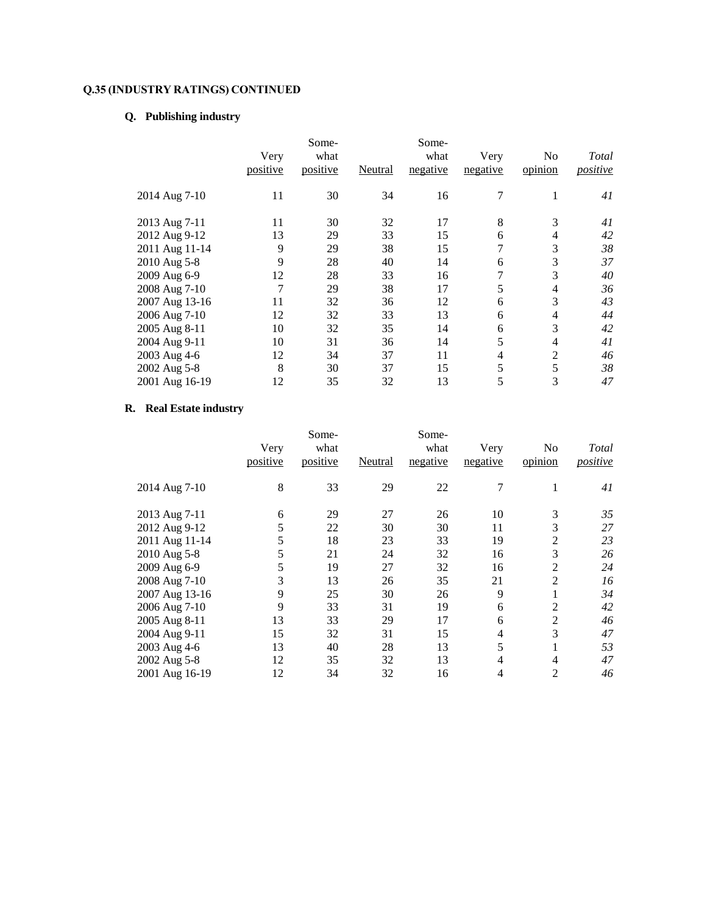# **Q. Publishing industry**

|                                                                                                                                                                                        | Very<br>positive                                            | Some-<br>what<br>positive                                      | Neutral                                                        | Some-<br>what<br>negative                                      | Very<br>negative                               | No<br>opinion                                                    | Total<br>positive                                              |
|----------------------------------------------------------------------------------------------------------------------------------------------------------------------------------------|-------------------------------------------------------------|----------------------------------------------------------------|----------------------------------------------------------------|----------------------------------------------------------------|------------------------------------------------|------------------------------------------------------------------|----------------------------------------------------------------|
| 2014 Aug 7-10                                                                                                                                                                          | 11                                                          | 30                                                             | 34                                                             | 16                                                             | 7                                              | 1                                                                | 41                                                             |
| 2013 Aug 7-11<br>2012 Aug 9-12<br>2011 Aug 11-14<br>2010 Aug 5-8<br>2009 Aug 6-9<br>2008 Aug 7-10<br>2007 Aug 13-16<br>2006 Aug 7-10<br>2005 Aug 8-11<br>2004 Aug 9-11<br>2003 Aug 4-6 | 11<br>13<br>9<br>9<br>12<br>7<br>11<br>12<br>10<br>10<br>12 | 30<br>29<br>29<br>28<br>28<br>29<br>32<br>32<br>32<br>31<br>34 | 32<br>33<br>38<br>40<br>33<br>38<br>36<br>33<br>35<br>36<br>37 | 17<br>15<br>15<br>14<br>16<br>17<br>12<br>13<br>14<br>14<br>11 | 8<br>6<br>6<br>7<br>5<br>6<br>6<br>6<br>5<br>4 | 3<br>4<br>3<br>3<br>3<br>4<br>3<br>4<br>3<br>4<br>$\overline{2}$ | 41<br>42<br>38<br>37<br>40<br>36<br>43<br>44<br>42<br>41<br>46 |
| 2002 Aug 5-8<br>2001 Aug 16-19                                                                                                                                                         | 8<br>12                                                     | 30<br>35                                                       | 37<br>32                                                       | 15<br>13                                                       | 5<br>5                                         | 5<br>3                                                           | 38<br>47                                                       |

## **R. Real Estate industry**

|                |          | Some-    |         | Some-    |          |                |                 |
|----------------|----------|----------|---------|----------|----------|----------------|-----------------|
|                | Very     | what     |         | what     | Very     | No             | Total           |
|                | positive | positive | Neutral | negative | negative | opinion        | <i>positive</i> |
| 2014 Aug 7-10  | 8        | 33       | 29      | 22       | 7        | 1              | 41              |
| 2013 Aug 7-11  | 6        | 29       | 27      | 26       | 10       | 3              | 35              |
| 2012 Aug 9-12  | 5        | 22       | 30      | 30       | 11       | 3              | 27              |
| 2011 Aug 11-14 | 5        | 18       | 23      | 33       | 19       | $\overline{2}$ | 23              |
| 2010 Aug 5-8   | 5        | 21       | 24      | 32       | 16       | 3              | 26              |
| 2009 Aug 6-9   | 5        | 19       | 27      | 32       | 16       | 2              | 24              |
| 2008 Aug 7-10  | 3        | 13       | 26      | 35       | 21       | $\overline{c}$ | 16              |
| 2007 Aug 13-16 | 9        | 25       | 30      | 26       | 9        |                | 34              |
| 2006 Aug 7-10  | 9        | 33       | 31      | 19       | 6        | 2              | 42              |
| 2005 Aug 8-11  | 13       | 33       | 29      | 17       | 6        | $\overline{c}$ | 46              |
| 2004 Aug 9-11  | 15       | 32       | 31      | 15       | 4        | 3              | 47              |
| 2003 Aug 4-6   | 13       | 40       | 28      | 13       | 5        |                | 53              |
| 2002 Aug 5-8   | 12       | 35       | 32      | 13       | 4        | 4              | 47              |
| 2001 Aug 16-19 | 12       | 34       | 32      | 16       | 4        | 2              | 46              |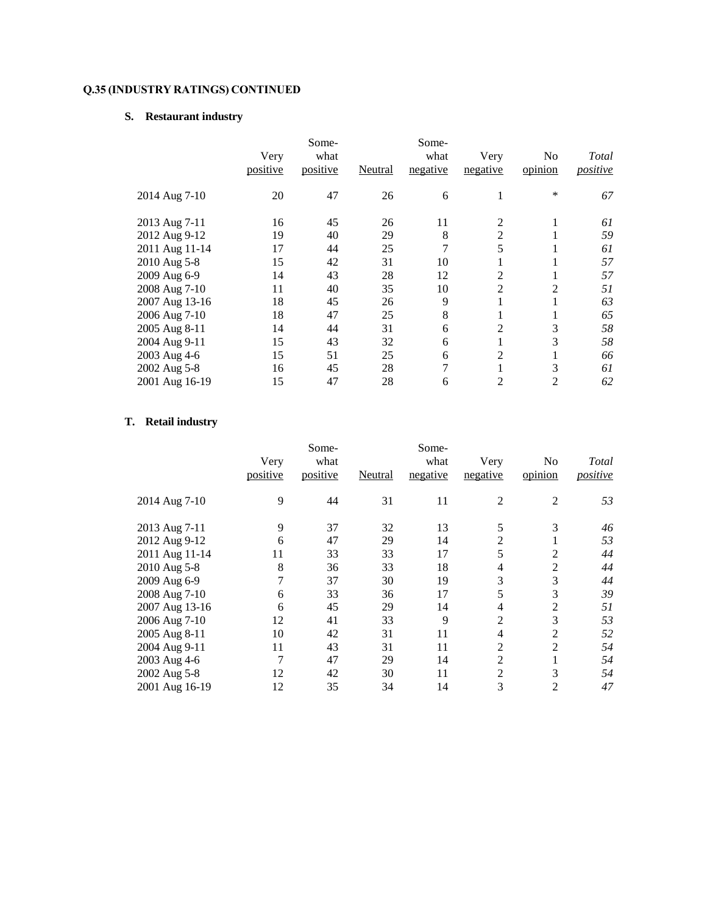# **S. Restaurant industry**

|                | Very<br>positive | Some-<br>what<br>positive | Neutral | Some-<br>what<br>negative | Very<br>negative | No<br>opinion  | Total<br>positive |
|----------------|------------------|---------------------------|---------|---------------------------|------------------|----------------|-------------------|
| 2014 Aug 7-10  | 20               | 47                        | 26      | 6                         | 1                | $\ast$         | 67                |
| 2013 Aug 7-11  | 16               | 45                        | 26      | 11                        | 2                | л.             | 61                |
| 2012 Aug 9-12  | 19               | 40                        | 29      | 8                         | 2                |                | 59                |
| 2011 Aug 11-14 | 17               | 44                        | 25      | 7                         | 5                |                | 61                |
| 2010 Aug 5-8   | 15               | 42                        | 31      | 10                        | 1                |                | 57                |
| 2009 Aug 6-9   | 14               | 43                        | 28      | 12                        | 2                | Ι.             | 57                |
| 2008 Aug 7-10  | 11               | 40                        | 35      | 10                        | $\overline{2}$   | $\overline{2}$ | 51                |
| 2007 Aug 13-16 | 18               | 45                        | 26      | 9                         | 1                | 1              | 63                |
| 2006 Aug 7-10  | 18               | 47                        | 25      | 8                         | 1                | Ι.             | 65                |
| 2005 Aug 8-11  | 14               | 44                        | 31      | 6                         | 2                | 3              | 58                |
| 2004 Aug 9-11  | 15               | 43                        | 32      | 6                         | 1                | 3              | 58                |
| 2003 Aug 4-6   | 15               | 51                        | 25      | 6                         | 2                | Ι.             | 66                |
| 2002 Aug 5-8   | 16               | 45                        | 28      | 7                         |                  | 3              | 61                |
| 2001 Aug 16-19 | 15               | 47                        | 28      | 6                         | $\overline{c}$   | $\mathfrak{D}$ | 62                |

## **T. Retail industry**

|                | Very     | Some-<br>what |         | Some-<br>what | Very           | No             | Total    |
|----------------|----------|---------------|---------|---------------|----------------|----------------|----------|
|                | positive | positive      | Neutral | negative      | negative       | opinion        | positive |
| 2014 Aug 7-10  | 9        | 44            | 31      | 11            | 2              | 2              | 53       |
| 2013 Aug 7-11  | 9        | 37            | 32      | 13            | 5              | 3              | 46       |
| 2012 Aug 9-12  | 6        | 47            | 29      | 14            | 2              |                | 53       |
| 2011 Aug 11-14 | 11       | 33            | 33      | 17            | 5              | 2              | 44       |
| 2010 Aug 5-8   | 8        | 36            | 33      | 18            | 4              | 2              | 44       |
| 2009 Aug 6-9   | 7        | 37            | 30      | 19            | 3              | 3              | 44       |
| 2008 Aug 7-10  | 6        | 33            | 36      | 17            | 5              | 3              | 39       |
| 2007 Aug 13-16 | 6        | 45            | 29      | 14            | 4              | 2              | 51       |
| 2006 Aug 7-10  | 12       | 41            | 33      | 9             | $\overline{2}$ | 3              | 53       |
| 2005 Aug 8-11  | 10       | 42            | 31      | 11            | 4              | $\overline{2}$ | 52       |
| 2004 Aug 9-11  | 11       | 43            | 31      | 11            | $\overline{2}$ | 2              | 54       |
| 2003 Aug 4-6   | 7        | 47            | 29      | 14            | 2              |                | 54       |
| 2002 Aug 5-8   | 12       | 42            | 30      | 11            | $\overline{2}$ | 3              | 54       |
| 2001 Aug 16-19 | 12       | 35            | 34      | 14            | 3              | 2              | 47       |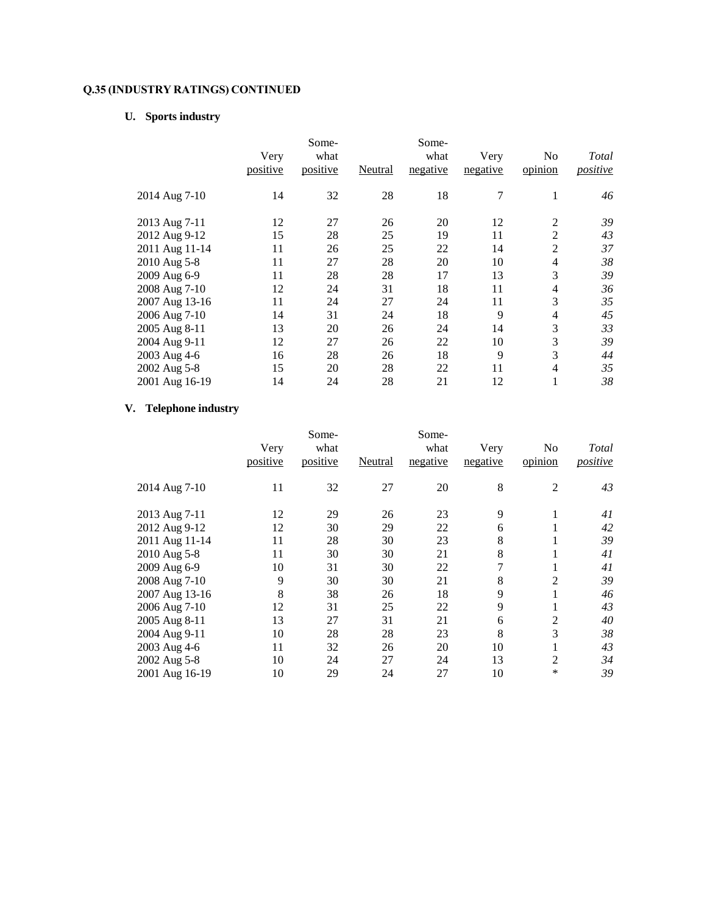## **U. Sports industry**

|                | Very<br>positive | Some-<br>what<br>positive | Neutral | Some-<br>what<br>negative | Very<br>negative | No<br>opinion  | Total<br>positive |
|----------------|------------------|---------------------------|---------|---------------------------|------------------|----------------|-------------------|
| 2014 Aug 7-10  | 14               | 32                        | 28      | 18                        | 7                | 1              | 46                |
| 2013 Aug 7-11  | 12               | 27                        | 26      | 20                        | 12               | $\overline{2}$ | 39                |
| 2012 Aug 9-12  | 15               | 28                        | 25      | 19                        | 11               | $\overline{2}$ | 43                |
| 2011 Aug 11-14 | 11               | 26                        | 25      | 22                        | 14               | $\overline{2}$ | 37                |
| 2010 Aug 5-8   | 11               | 27                        | 28      | 20                        | 10               | 4              | 38                |
| 2009 Aug 6-9   | 11               | 28                        | 28      | 17                        | 13               | 3              | 39                |
| 2008 Aug 7-10  | 12               | 24                        | 31      | 18                        | 11               | 4              | 36                |
| 2007 Aug 13-16 | 11               | 24                        | 27      | 24                        | 11               | 3              | 35                |
| 2006 Aug 7-10  | 14               | 31                        | 24      | 18                        | 9                | 4              | 45                |
| 2005 Aug 8-11  | 13               | 20                        | 26      | 24                        | 14               | 3              | 33                |
| 2004 Aug 9-11  | 12               | 27                        | 26      | 22                        | 10               | 3              | 39                |
| 2003 Aug 4-6   | 16               | 28                        | 26      | 18                        | 9                | 3              | 44                |
| 2002 Aug 5-8   | 15               | 20                        | 28      | 22                        | 11               | 4              | 35                |
| 2001 Aug 16-19 | 14               | 24                        | 28      | 21                        | 12               | 1              | 38                |

## **V. Telephone industry**

|                |          | Some-    |         | Some-    |          |         |          |
|----------------|----------|----------|---------|----------|----------|---------|----------|
|                | Very     | what     |         | what     | Very     | No      | Total    |
|                | positive | positive | Neutral | negative | negative | opinion | positive |
| 2014 Aug 7-10  | 11       | 32       | 27      | 20       | 8        | 2       | 43       |
| 2013 Aug 7-11  | 12       | 29       | 26      | 23       | 9        | 1       | 41       |
| 2012 Aug 9-12  | 12       | 30       | 29      | 22       | 6        |         | 42       |
| 2011 Aug 11-14 | 11       | 28       | 30      | 23       | 8        | 1       | 39       |
| 2010 Aug 5-8   | 11       | 30       | 30      | 21       | 8        | 1       | 41       |
| 2009 Aug 6-9   | 10       | 31       | 30      | 22       | 7        | Ι.      | 41       |
| 2008 Aug 7-10  | 9        | 30       | 30      | 21       | 8        | 2       | 39       |
| 2007 Aug 13-16 | 8        | 38       | 26      | 18       | 9        |         | 46       |
| 2006 Aug 7-10  | 12       | 31       | 25      | 22       | 9        |         | 43       |
| 2005 Aug 8-11  | 13       | 27       | 31      | 21       | 6        | 2       | 40       |
| 2004 Aug 9-11  | 10       | 28       | 28      | 23       | 8        | 3       | 38       |
| 2003 Aug 4-6   | 11       | 32       | 26      | 20       | 10       |         | 43       |
| 2002 Aug 5-8   | 10       | 24       | 27      | 24       | 13       | 2       | 34       |
| 2001 Aug 16-19 | 10       | 29       | 24      | 27       | 10       | ∗       | 39       |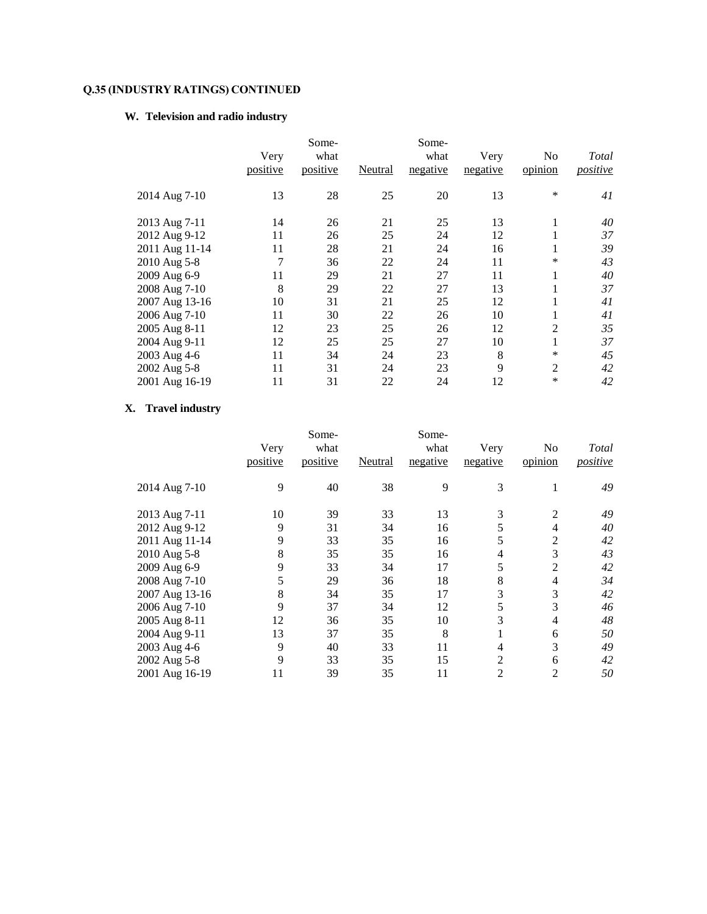## **W. Television and radio industry**

|                                                                                                                                                                        | Very<br>positive                                       | Some-<br>what<br>positive                                | Neutral                                                  | Some-<br>what<br>negative                                | Very<br>negative                                         | No<br>opinion                                                 | Total<br>positive                                        |
|------------------------------------------------------------------------------------------------------------------------------------------------------------------------|--------------------------------------------------------|----------------------------------------------------------|----------------------------------------------------------|----------------------------------------------------------|----------------------------------------------------------|---------------------------------------------------------------|----------------------------------------------------------|
| 2014 Aug 7-10                                                                                                                                                          | 13                                                     | 28                                                       | 25                                                       | 20                                                       | 13                                                       | *                                                             | 41                                                       |
| 2013 Aug 7-11<br>2012 Aug 9-12<br>2011 Aug 11-14<br>2010 Aug 5-8<br>2009 Aug 6-9<br>2008 Aug 7-10<br>2007 Aug 13-16<br>2006 Aug 7-10<br>2005 Aug 8-11<br>2004 Aug 9-11 | 14<br>11<br>11<br>7<br>11<br>8<br>10<br>11<br>12<br>12 | 26<br>26<br>28<br>36<br>29<br>29<br>31<br>30<br>23<br>25 | 21<br>25<br>21<br>22<br>21<br>22<br>21<br>22<br>25<br>25 | 25<br>24<br>24<br>24<br>27<br>27<br>25<br>26<br>26<br>27 | 13<br>12<br>16<br>11<br>11<br>13<br>12<br>10<br>12<br>10 | 1<br>1<br>$\ast$<br>1<br>1<br>л.<br>Ι.<br>$\overline{2}$<br>1 | 40<br>37<br>39<br>43<br>40<br>37<br>41<br>41<br>35<br>37 |
| 2003 Aug 4-6<br>2002 Aug 5-8<br>2001 Aug 16-19                                                                                                                         | 11<br>11<br>11                                         | 34<br>31<br>31                                           | 24<br>24<br>22                                           | 23<br>23<br>24                                           | 8<br>9<br>12                                             | *<br>$\overline{2}$<br>*                                      | 45<br>42<br>42                                           |

## **X. Travel industry**

|                |          | Some-    |         | Some-    |                |         |                 |
|----------------|----------|----------|---------|----------|----------------|---------|-----------------|
|                | Very     | what     |         | what     | Very           | No      | Total           |
|                | positive | positive | Neutral | negative | negative       | opinion | <i>positive</i> |
| 2014 Aug 7-10  | 9        | 40       | 38      | 9        | 3              |         | 49              |
| 2013 Aug 7-11  | 10       | 39       | 33      | 13       | 3              | 2       | 49              |
| 2012 Aug 9-12  | 9        | 31       | 34      | 16       | 5              | 4       | 40              |
| 2011 Aug 11-14 | 9        | 33       | 35      | 16       | 5              | 2       | 42              |
| 2010 Aug 5-8   | 8        | 35       | 35      | 16       | 4              | 3       | 43              |
| 2009 Aug 6-9   | 9        | 33       | 34      | 17       | 5              | 2       | 42              |
| 2008 Aug 7-10  | 5        | 29       | 36      | 18       | 8              | 4       | 34              |
| 2007 Aug 13-16 | 8        | 34       | 35      | 17       | 3              | 3       | 42              |
| 2006 Aug 7-10  | 9        | 37       | 34      | 12       | 5              | 3       | 46              |
| 2005 Aug 8-11  | 12       | 36       | 35      | 10       | 3              | 4       | 48              |
| 2004 Aug 9-11  | 13       | 37       | 35      | 8        |                | 6       | 50              |
| 2003 Aug 4-6   | 9        | 40       | 33      | 11       | 4              | 3       | 49              |
| 2002 Aug 5-8   | 9        | 33       | 35      | 15       | $\overline{2}$ | 6       | 42              |
| 2001 Aug 16-19 | 11       | 39       | 35      | 11       | $\overline{2}$ | 2       | 50              |
|                |          |          |         |          |                |         |                 |